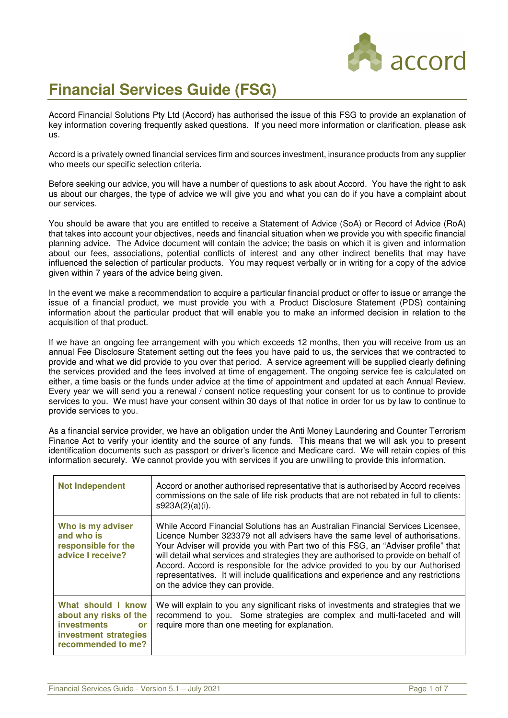

# **Financial Services Guide (FSG)**

Accord Financial Solutions Pty Ltd (Accord) has authorised the issue of this FSG to provide an explanation of key information covering frequently asked questions. If you need more information or clarification, please ask  $\overline{u}$ 

Accord is a privately owned financial services firm and sources investment, insurance products from any supplier who meets our specific selection criteria.

Before seeking our advice, you will have a number of questions to ask about Accord. You have the right to ask us about our charges, the type of advice we will give you and what you can do if you have a complaint about our services.

You should be aware that you are entitled to receive a Statement of Advice (SoA) or Record of Advice (RoA) that takes into account your objectives, needs and financial situation when we provide you with specific financial planning advice. The Advice document will contain the advice; the basis on which it is given and information about our fees, associations, potential conflicts of interest and any other indirect benefits that may have influenced the selection of particular products. You may request verbally or in writing for a copy of the advice given within 7 years of the advice being given.

In the event we make a recommendation to acquire a particular financial product or offer to issue or arrange the issue of a financial product, we must provide you with a Product Disclosure Statement (PDS) containing information about the particular product that will enable you to make an informed decision in relation to the acquisition of that product.

If we have an ongoing fee arrangement with you which exceeds 12 months, then you will receive from us an annual Fee Disclosure Statement setting out the fees you have paid to us, the services that we contracted to provide and what we did provide to you over that period. A service agreement will be supplied clearly defining the services provided and the fees involved at time of engagement. The ongoing service fee is calculated on either, a time basis or the funds under advice at the time of appointment and updated at each Annual Review. Every year we will send you a renewal / consent notice requesting your consent for us to continue to provide services to you. We must have your consent within 30 days of that notice in order for us by law to continue to provide services to you.

As a financial service provider, we have an obligation under the Anti Money Laundering and Counter Terrorism Finance Act to verify your identity and the source of any funds. This means that we will ask you to present identification documents such as passport or driver's licence and Medicare card. We will retain copies of this information securely. We cannot provide you with services if you are unwilling to provide this information.

| <b>Not Independent</b>                                                                                                         | Accord or another authorised representative that is authorised by Accord receives<br>commissions on the sale of life risk products that are not rebated in full to clients:<br>s923A(2)(a)(i).                                                                                                                                                                                                                                                                                                                                                             |
|--------------------------------------------------------------------------------------------------------------------------------|------------------------------------------------------------------------------------------------------------------------------------------------------------------------------------------------------------------------------------------------------------------------------------------------------------------------------------------------------------------------------------------------------------------------------------------------------------------------------------------------------------------------------------------------------------|
| Who is my adviser<br>and who is<br>responsible for the<br>advice I receive?                                                    | While Accord Financial Solutions has an Australian Financial Services Licensee,<br>Licence Number 323379 not all advisers have the same level of authorisations.<br>Your Adviser will provide you with Part two of this FSG, an "Adviser profile" that<br>will detail what services and strategies they are authorised to provide on behalf of<br>Accord. Accord is responsible for the advice provided to you by our Authorised<br>representatives. It will include qualifications and experience and any restrictions<br>on the advice they can provide. |
| What should I know<br>about any risks of the<br><b>investments</b><br><b>or</b><br>investment strategies<br>recommended to me? | We will explain to you any significant risks of investments and strategies that we<br>recommend to you. Some strategies are complex and multi-faceted and will<br>require more than one meeting for explanation.                                                                                                                                                                                                                                                                                                                                           |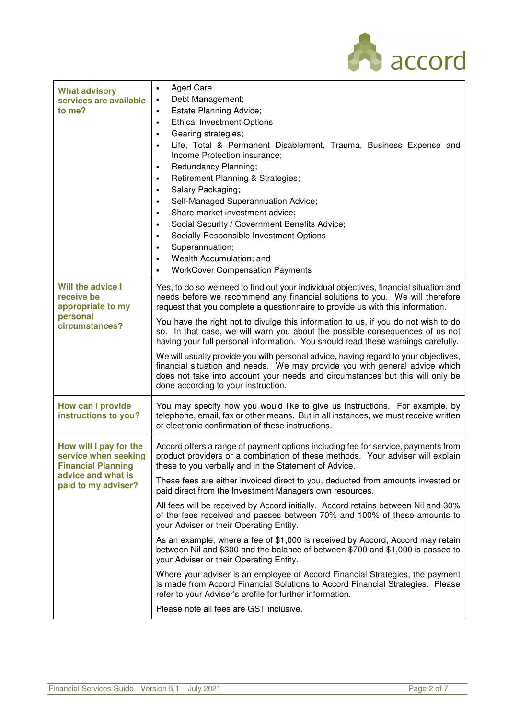

| <b>What advisory</b><br>services are available<br>to me?                                                                 | <b>Aged Care</b><br>$\bullet$<br>Debt Management;<br><b>Estate Planning Advice;</b><br>$\bullet$<br><b>Ethical Investment Options</b><br>$\bullet$<br>Gearing strategies;<br>$\bullet$<br>Life, Total & Permanent Disablement, Trauma, Business Expense and<br>Income Protection insurance;<br>Redundancy Planning;<br>$\bullet$<br>Retirement Planning & Strategies;<br>$\bullet$<br>Salary Packaging;<br>٠<br>Self-Managed Superannuation Advice;<br>Share market investment advice;<br>Social Security / Government Benefits Advice;<br>Socially Responsible Investment Options<br>Superannuation;<br>Wealth Accumulation; and<br><b>WorkCover Compensation Payments</b> |
|--------------------------------------------------------------------------------------------------------------------------|-----------------------------------------------------------------------------------------------------------------------------------------------------------------------------------------------------------------------------------------------------------------------------------------------------------------------------------------------------------------------------------------------------------------------------------------------------------------------------------------------------------------------------------------------------------------------------------------------------------------------------------------------------------------------------|
| Will the advice I<br>receive be<br>appropriate to my<br>personal<br>circumstances?                                       | Yes, to do so we need to find out your individual objectives, financial situation and<br>needs before we recommend any financial solutions to you. We will therefore<br>request that you complete a questionnaire to provide us with this information.                                                                                                                                                                                                                                                                                                                                                                                                                      |
|                                                                                                                          | You have the right not to divulge this information to us, if you do not wish to do<br>so. In that case, we will warn you about the possible consequences of us not<br>having your full personal information. You should read these warnings carefully.                                                                                                                                                                                                                                                                                                                                                                                                                      |
|                                                                                                                          | We will usually provide you with personal advice, having regard to your objectives,<br>financial situation and needs. We may provide you with general advice which<br>does not take into account your needs and circumstances but this will only be<br>done according to your instruction.                                                                                                                                                                                                                                                                                                                                                                                  |
| How can I provide<br>instructions to you?                                                                                | You may specify how you would like to give us instructions. For example, by<br>telephone, email, fax or other means. But in all instances, we must receive written<br>or electronic confirmation of these instructions.                                                                                                                                                                                                                                                                                                                                                                                                                                                     |
| How will I pay for the<br>service when seeking<br><b>Financial Planning</b><br>advice and what is<br>paid to my adviser? | Accord offers a range of payment options including fee for service, payments from<br>product providers or a combination of these methods. Your adviser will explain<br>these to you verbally and in the Statement of Advice.                                                                                                                                                                                                                                                                                                                                                                                                                                                |
|                                                                                                                          | These fees are either invoiced direct to you, deducted from amounts invested or<br>paid direct from the Investment Managers own resources.                                                                                                                                                                                                                                                                                                                                                                                                                                                                                                                                  |
|                                                                                                                          | All fees will be received by Accord initially. Accord retains between Nil and 30%<br>of the fees received and passes between 70% and 100% of these amounts to<br>your Adviser or their Operating Entity.                                                                                                                                                                                                                                                                                                                                                                                                                                                                    |
|                                                                                                                          | As an example, where a fee of \$1,000 is received by Accord, Accord may retain<br>between Nil and \$300 and the balance of between \$700 and \$1,000 is passed to<br>your Adviser or their Operating Entity.                                                                                                                                                                                                                                                                                                                                                                                                                                                                |
|                                                                                                                          | Where your adviser is an employee of Accord Financial Strategies, the payment<br>is made from Accord Financial Solutions to Accord Financial Strategies. Please<br>refer to your Adviser's profile for further information.                                                                                                                                                                                                                                                                                                                                                                                                                                                 |
|                                                                                                                          | Please note all fees are GST inclusive.                                                                                                                                                                                                                                                                                                                                                                                                                                                                                                                                                                                                                                     |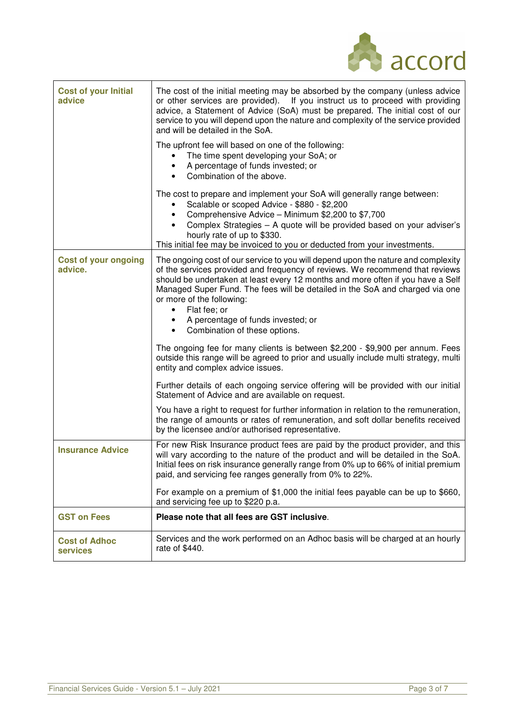| <b>EN</b> accord |
|------------------|

| <b>Cost of your Initial</b><br>advice   | The cost of the initial meeting may be absorbed by the company (unless advice<br>or other services are provided). If you instruct us to proceed with providing<br>advice, a Statement of Advice (SoA) must be prepared. The initial cost of our<br>service to you will depend upon the nature and complexity of the service provided<br>and will be detailed in the SoA.                                                             |
|-----------------------------------------|--------------------------------------------------------------------------------------------------------------------------------------------------------------------------------------------------------------------------------------------------------------------------------------------------------------------------------------------------------------------------------------------------------------------------------------|
|                                         | The upfront fee will based on one of the following:<br>The time spent developing your SoA; or<br>A percentage of funds invested; or<br>Combination of the above.<br>$\bullet$                                                                                                                                                                                                                                                        |
|                                         | The cost to prepare and implement your SoA will generally range between:<br>Scalable or scoped Advice - \$880 - \$2,200<br>Comprehensive Advice - Minimum \$2,200 to \$7,700<br>Complex Strategies - A quote will be provided based on your adviser's<br>hourly rate of up to \$330.<br>This initial fee may be invoiced to you or deducted from your investments.                                                                   |
| <b>Cost of your ongoing</b><br>advice.  | The ongoing cost of our service to you will depend upon the nature and complexity<br>of the services provided and frequency of reviews. We recommend that reviews<br>should be undertaken at least every 12 months and more often if you have a Self<br>Managed Super Fund. The fees will be detailed in the SoA and charged via one<br>or more of the following:<br>Flat fee; or<br>$\bullet$<br>A percentage of funds invested; or |
|                                         | Combination of these options.<br>$\bullet$                                                                                                                                                                                                                                                                                                                                                                                           |
|                                         | The ongoing fee for many clients is between \$2,200 - \$9,900 per annum. Fees<br>outside this range will be agreed to prior and usually include multi strategy, multi<br>entity and complex advice issues.                                                                                                                                                                                                                           |
|                                         | Further details of each ongoing service offering will be provided with our initial<br>Statement of Advice and are available on request.                                                                                                                                                                                                                                                                                              |
|                                         | You have a right to request for further information in relation to the remuneration,<br>the range of amounts or rates of remuneration, and soft dollar benefits received<br>by the licensee and/or authorised representative.                                                                                                                                                                                                        |
| <b>Insurance Advice</b>                 | For new Risk Insurance product fees are paid by the product provider, and this<br>will vary according to the nature of the product and will be detailed in the SoA.<br>Initial fees on risk insurance generally range from 0% up to 66% of initial premium<br>paid, and servicing fee ranges generally from 0% to 22%.                                                                                                               |
|                                         | For example on a premium of \$1,000 the initial fees payable can be up to \$660,<br>and servicing fee up to \$220 p.a.                                                                                                                                                                                                                                                                                                               |
| <b>GST on Fees</b>                      | Please note that all fees are GST inclusive.                                                                                                                                                                                                                                                                                                                                                                                         |
| <b>Cost of Adhoc</b><br><b>services</b> | Services and the work performed on an Adhoc basis will be charged at an hourly<br>rate of \$440.                                                                                                                                                                                                                                                                                                                                     |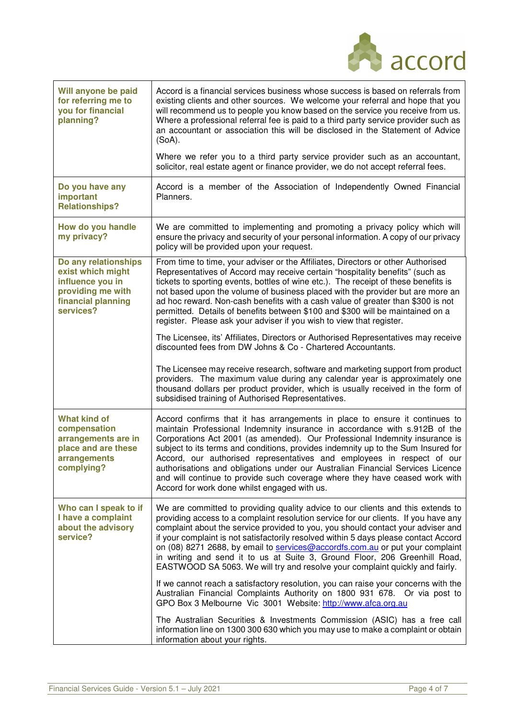|                                                                                                                       | <b>A</b> accord                                                                                                                                                                                                                                                                                                                                                                                                                                                                                                                                                                                                          |
|-----------------------------------------------------------------------------------------------------------------------|--------------------------------------------------------------------------------------------------------------------------------------------------------------------------------------------------------------------------------------------------------------------------------------------------------------------------------------------------------------------------------------------------------------------------------------------------------------------------------------------------------------------------------------------------------------------------------------------------------------------------|
| Will anyone be paid<br>for referring me to<br>you for financial<br>planning?                                          | Accord is a financial services business whose success is based on referrals from<br>existing clients and other sources. We welcome your referral and hope that you<br>will recommend us to people you know based on the service you receive from us.<br>Where a professional referral fee is paid to a third party service provider such as<br>an accountant or association this will be disclosed in the Statement of Advice<br>$(SoA)$ .                                                                                                                                                                               |
|                                                                                                                       | Where we refer you to a third party service provider such as an accountant,<br>solicitor, real estate agent or finance provider, we do not accept referral fees.                                                                                                                                                                                                                                                                                                                                                                                                                                                         |
| Do you have any<br>important<br><b>Relationships?</b>                                                                 | Accord is a member of the Association of Independently Owned Financial<br>Planners.                                                                                                                                                                                                                                                                                                                                                                                                                                                                                                                                      |
| How do you handle<br>my privacy?                                                                                      | We are committed to implementing and promoting a privacy policy which will<br>ensure the privacy and security of your personal information. A copy of our privacy<br>policy will be provided upon your request.                                                                                                                                                                                                                                                                                                                                                                                                          |
| Do any relationships<br>exist which might<br>influence you in<br>providing me with<br>financial planning<br>services? | From time to time, your adviser or the Affiliates, Directors or other Authorised<br>Representatives of Accord may receive certain "hospitality benefits" (such as<br>tickets to sporting events, bottles of wine etc.). The receipt of these benefits is<br>not based upon the volume of business placed with the provider but are more an<br>ad hoc reward. Non-cash benefits with a cash value of greater than \$300 is not<br>permitted. Details of benefits between \$100 and \$300 will be maintained on a<br>register. Please ask your adviser if you wish to view that register.                                  |
|                                                                                                                       | The Licensee, its' Affiliates, Directors or Authorised Representatives may receive<br>discounted fees from DW Johns & Co - Chartered Accountants.                                                                                                                                                                                                                                                                                                                                                                                                                                                                        |
|                                                                                                                       | The Licensee may receive research, software and marketing support from product<br>providers. The maximum value during any calendar year is approximately one<br>thousand dollars per product provider, which is usually received in the form of<br>subsidised training of Authorised Representatives.                                                                                                                                                                                                                                                                                                                    |
| <b>What kind of</b><br>compensation<br>arrangements are in<br>place and are these<br>arrangements<br>complying?       | Accord confirms that it has arrangements in place to ensure it continues to<br>maintain Professional Indemnity insurance in accordance with s.912B of the<br>Corporations Act 2001 (as amended). Our Professional Indemnity insurance is<br>subject to its terms and conditions, provides indemnity up to the Sum Insured for<br>Accord, our authorised representatives and employees in respect of our<br>authorisations and obligations under our Australian Financial Services Licence<br>and will continue to provide such coverage where they have ceased work with<br>Accord for work done whilst engaged with us. |
| Who can I speak to if<br>I have a complaint<br>about the advisory<br>service?                                         | We are committed to providing quality advice to our clients and this extends to<br>providing access to a complaint resolution service for our clients. If you have any<br>complaint about the service provided to you, you should contact your adviser and<br>if your complaint is not satisfactorily resolved within 5 days please contact Accord<br>on (08) 8271 2688, by email to services@accordfs.com.au or put your complaint<br>in writing and send it to us at Suite 3, Ground Floor, 206 Greenhill Road,<br>EASTWOOD SA 5063. We will try and resolve your complaint quickly and fairly.                        |
|                                                                                                                       | If we cannot reach a satisfactory resolution, you can raise your concerns with the<br>Australian Financial Complaints Authority on 1800 931 678. Or via post to<br>GPO Box 3 Melbourne Vic 3001 Website: http://www.afca.org.au                                                                                                                                                                                                                                                                                                                                                                                          |
|                                                                                                                       | The Australian Securities & Investments Commission (ASIC) has a free call<br>information line on 1300 300 630 which you may use to make a complaint or obtain<br>information about your rights.                                                                                                                                                                                                                                                                                                                                                                                                                          |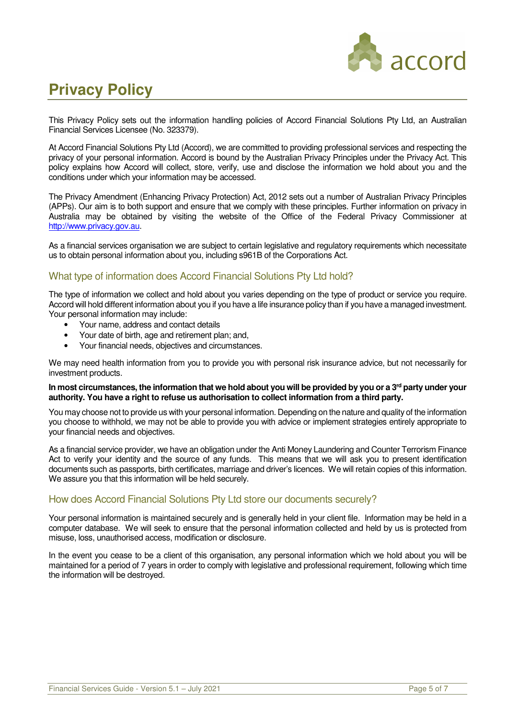

## **Privacy Policy**

This Privacy Policy sets out the information handling policies of Accord Financial Solutions Pty Ltd, an Australian Financial Services Licensee (No. 323379).

At Accord Financial Solutions Pty Ltd (Accord), we are committed to providing professional services and respecting the privacy of your personal information. Accord is bound by the Australian Privacy Principles under the Privacy Act. This policy explains how Accord will collect, store, verify, use and disclose the information we hold about you and the conditions under which your information may be accessed.

The Privacy Amendment (Enhancing Privacy Protection) Act, 2012 sets out a number of Australian Privacy Principles (APPs). Our aim is to both support and ensure that we comply with these principles. Further information on privacy in Australia may be obtained by visiting the website of the Office of the Federal Privacy Commissioner at http://www.privacy.gov.au.

As a financial services organisation we are subject to certain legislative and regulatory requirements which necessitate us to obtain personal information about you, including s961B of the Corporations Act.

## What type of information does Accord Financial Solutions Pty Ltd hold?

The type of information we collect and hold about you varies depending on the type of product or service you require. Accord will hold different information about you if you have a life insurance policy than if you have a managed investment. Your personal information may include:

- Your name, address and contact details
- Your date of birth, age and retirement plan; and,
- Your financial needs, objectives and circumstances.

We may need health information from you to provide you with personal risk insurance advice, but not necessarily for investment products.

#### **In most circumstances, the information that we hold about you will be provided by you or a 3rd party under your authority. You have a right to refuse us authorisation to collect information from a third party.**

You may choose not to provide us with your personal information. Depending on the nature and quality of the information you choose to withhold, we may not be able to provide you with advice or implement strategies entirely appropriate to your financial needs and objectives.

As a financial service provider, we have an obligation under the Anti Money Laundering and Counter Terrorism Finance Act to verify your identity and the source of any funds. This means that we will ask you to present identification documents such as passports, birth certificates, marriage and driver's licences. We will retain copies of this information. We assure you that this information will be held securely.

## How does Accord Financial Solutions Pty Ltd store our documents securely?

Your personal information is maintained securely and is generally held in your client file. Information may be held in a computer database. We will seek to ensure that the personal information collected and held by us is protected from misuse, loss, unauthorised access, modification or disclosure.

In the event you cease to be a client of this organisation, any personal information which we hold about you will be maintained for a period of 7 years in order to comply with legislative and professional requirement, following which time the information will be destroyed.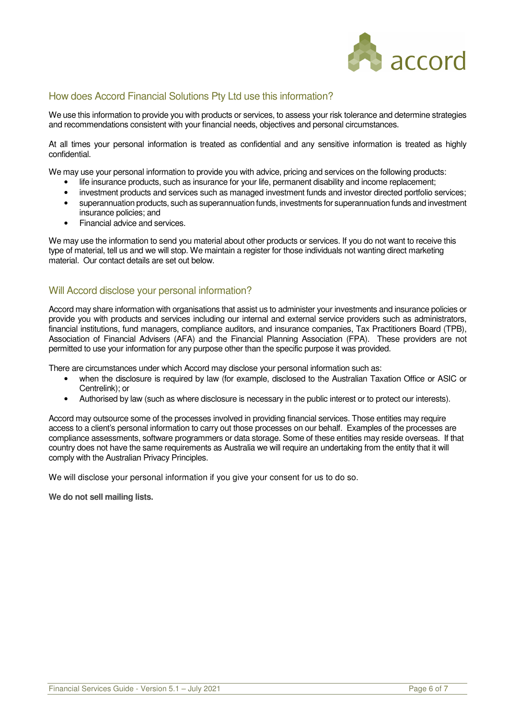

## How does Accord Financial Solutions Pty Ltd use this information?

We use this information to provide you with products or services, to assess your risk tolerance and determine strategies and recommendations consistent with your financial needs, objectives and personal circumstances.

At all times your personal information is treated as confidential and any sensitive information is treated as highly confidential.

We may use your personal information to provide you with advice, pricing and services on the following products:

- life insurance products, such as insurance for your life, permanent disability and income replacement;
- investment products and services such as managed investment funds and investor directed portfolio services;
- superannuation products, such as superannuation funds, investments for superannuation funds and investment insurance policies; and
- Financial advice and services.

We may use the information to send you material about other products or services. If you do not want to receive this type of material, tell us and we will stop. We maintain a register for those individuals not wanting direct marketing material. Our contact details are set out below.

## Will Accord disclose your personal information?

Accord may share information with organisations that assist us to administer your investments and insurance policies or provide you with products and services including our internal and external service providers such as administrators, financial institutions, fund managers, compliance auditors, and insurance companies, Tax Practitioners Board (TPB), Association of Financial Advisers (AFA) and the Financial Planning Association (FPA). These providers are not permitted to use your information for any purpose other than the specific purpose it was provided.

There are circumstances under which Accord may disclose your personal information such as:

- when the disclosure is required by law (for example, disclosed to the Australian Taxation Office or ASIC or Centrelink); or
- Authorised by law (such as where disclosure is necessary in the public interest or to protect our interests).

Accord may outsource some of the processes involved in providing financial services. Those entities may require access to a client's personal information to carry out those processes on our behalf. Examples of the processes are compliance assessments, software programmers or data storage. Some of these entities may reside overseas. If that country does not have the same requirements as Australia we will require an undertaking from the entity that it will comply with the Australian Privacy Principles.

We will disclose your personal information if you give your consent for us to do so.

**We do not sell mailing lists.**